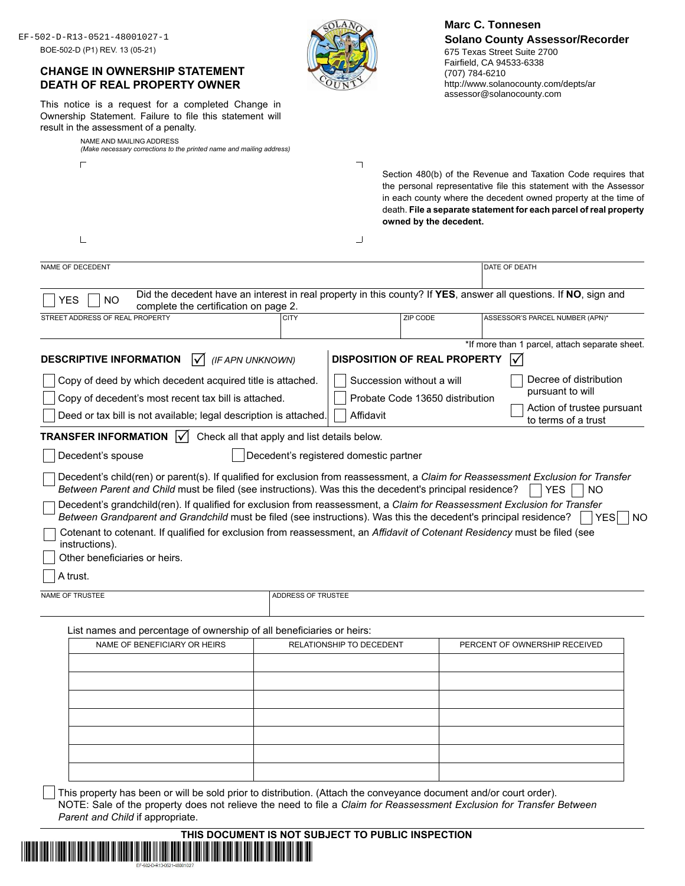| BOE-502-D (P1) REV. 13 (05-21)<br>result in the assessment of a penalty.<br>NAME AND MAILING ADDRESS | EF-502-D-R13-0521-48001027-1<br><b>CHANGE IN OWNERSHIP STATEMENT</b><br><b>DEATH OF REAL PROPERTY OWNER</b><br>This notice is a request for a completed Change in<br>Ownership Statement. Failure to file this statement will<br>(Make necessary corrections to the printed name and mailing address)                                                     |                                                                                        |                          | 675 Texas Street Suite 2700<br>Fairfield, CA 94533-6338<br>(707) 784-6210 | <b>Solano County Assessor/Recorder</b><br>http://www.solanocounty.com/depts/ar<br>assessor@solanocounty.com                                                                                                                                                                |
|------------------------------------------------------------------------------------------------------|-----------------------------------------------------------------------------------------------------------------------------------------------------------------------------------------------------------------------------------------------------------------------------------------------------------------------------------------------------------|----------------------------------------------------------------------------------------|--------------------------|---------------------------------------------------------------------------|----------------------------------------------------------------------------------------------------------------------------------------------------------------------------------------------------------------------------------------------------------------------------|
| г                                                                                                    |                                                                                                                                                                                                                                                                                                                                                           |                                                                                        | ㄱ                        | owned by the decedent.                                                    | Section 480(b) of the Revenue and Taxation Code requires that<br>the personal representative file this statement with the Assessor<br>in each county where the decedent owned property at the time of<br>death. File a separate statement for each parcel of real property |
|                                                                                                      |                                                                                                                                                                                                                                                                                                                                                           |                                                                                        | ┙                        |                                                                           |                                                                                                                                                                                                                                                                            |
| NAME OF DECEDENT                                                                                     |                                                                                                                                                                                                                                                                                                                                                           |                                                                                        |                          |                                                                           | DATE OF DEATH                                                                                                                                                                                                                                                              |
| YES<br><b>NO</b><br>STREET ADDRESS OF REAL PROPERTY                                                  | complete the certification on page 2.                                                                                                                                                                                                                                                                                                                     | <b>CITY</b>                                                                            |                          | ZIP CODE                                                                  | Did the decedent have an interest in real property in this county? If YES, answer all questions. If NO, sign and<br>ASSESSOR'S PARCEL NUMBER (APN)*                                                                                                                        |
|                                                                                                      |                                                                                                                                                                                                                                                                                                                                                           |                                                                                        |                          |                                                                           | *If more than 1 parcel, attach separate sheet.                                                                                                                                                                                                                             |
| <b>DESCRIPTIVE INFORMATION</b>                                                                       | $\vert \sqrt{\vert}$                                                                                                                                                                                                                                                                                                                                      | (IF APN UNKNOWN)                                                                       |                          | <b>DISPOSITION OF REAL PROPERTY</b>                                       | I√                                                                                                                                                                                                                                                                         |
|                                                                                                      | Copy of deed by which decedent acquired title is attached.                                                                                                                                                                                                                                                                                                |                                                                                        |                          | Succession without a will                                                 | Decree of distribution                                                                                                                                                                                                                                                     |
|                                                                                                      | Copy of decedent's most recent tax bill is attached.                                                                                                                                                                                                                                                                                                      |                                                                                        |                          | Probate Code 13650 distribution                                           | pursuant to will                                                                                                                                                                                                                                                           |
|                                                                                                      |                                                                                                                                                                                                                                                                                                                                                           |                                                                                        |                          |                                                                           | Action of trustee pursuant                                                                                                                                                                                                                                                 |
|                                                                                                      |                                                                                                                                                                                                                                                                                                                                                           | Deed or tax bill is not available; legal description is attached.                      | Affidavit                |                                                                           |                                                                                                                                                                                                                                                                            |
|                                                                                                      | $\mathsf{V}$                                                                                                                                                                                                                                                                                                                                              |                                                                                        |                          |                                                                           | to terms of a trust                                                                                                                                                                                                                                                        |
| <b>TRANSFER INFORMATION</b><br>Decedent's spouse                                                     |                                                                                                                                                                                                                                                                                                                                                           | Check all that apply and list details below.<br>Decedent's registered domestic partner |                          |                                                                           |                                                                                                                                                                                                                                                                            |
|                                                                                                      |                                                                                                                                                                                                                                                                                                                                                           |                                                                                        |                          |                                                                           | Decedent's child(ren) or parent(s). If qualified for exclusion from reassessment, a Claim for Reassessment Exclusion for Transfer<br><b>YES</b><br><b>NO</b>                                                                                                               |
|                                                                                                      | Between Parent and Child must be filed (see instructions). Was this the decedent's principal residence?<br>Decedent's grandchild(ren). If qualified for exclusion from reassessment, a Claim for Reassessment Exclusion for Transfer<br>Between Grandparent and Grandchild must be filed (see instructions). Was this the decedent's principal residence? |                                                                                        |                          |                                                                           | YES                                                                                                                                                                                                                                                                        |
| instructions).<br>Other beneficiaries or heirs.                                                      | Cotenant to cotenant. If qualified for exclusion from reassessment, an Affidavit of Cotenant Residency must be filed (see                                                                                                                                                                                                                                 |                                                                                        |                          |                                                                           |                                                                                                                                                                                                                                                                            |
| A trust.                                                                                             |                                                                                                                                                                                                                                                                                                                                                           |                                                                                        |                          |                                                                           |                                                                                                                                                                                                                                                                            |
| NAME OF TRUSTEE                                                                                      |                                                                                                                                                                                                                                                                                                                                                           | ADDRESS OF TRUSTEE                                                                     |                          |                                                                           |                                                                                                                                                                                                                                                                            |
|                                                                                                      | List names and percentage of ownership of all beneficiaries or heirs:                                                                                                                                                                                                                                                                                     |                                                                                        |                          |                                                                           |                                                                                                                                                                                                                                                                            |
|                                                                                                      | NAME OF BENEFICIARY OR HEIRS                                                                                                                                                                                                                                                                                                                              |                                                                                        | RELATIONSHIP TO DECEDENT |                                                                           | PERCENT OF OWNERSHIP RECEIVED                                                                                                                                                                                                                                              |
|                                                                                                      |                                                                                                                                                                                                                                                                                                                                                           |                                                                                        |                          |                                                                           |                                                                                                                                                                                                                                                                            |
|                                                                                                      |                                                                                                                                                                                                                                                                                                                                                           |                                                                                        |                          |                                                                           |                                                                                                                                                                                                                                                                            |
|                                                                                                      |                                                                                                                                                                                                                                                                                                                                                           |                                                                                        |                          |                                                                           |                                                                                                                                                                                                                                                                            |
|                                                                                                      |                                                                                                                                                                                                                                                                                                                                                           |                                                                                        |                          |                                                                           |                                                                                                                                                                                                                                                                            |
|                                                                                                      |                                                                                                                                                                                                                                                                                                                                                           |                                                                                        |                          |                                                                           |                                                                                                                                                                                                                                                                            |
|                                                                                                      |                                                                                                                                                                                                                                                                                                                                                           |                                                                                        |                          |                                                                           |                                                                                                                                                                                                                                                                            |

|                            | THIS DOCUMENT IS NOT SUBJECT TO PUBLIC INSPECTION                                                                    |
|----------------------------|----------------------------------------------------------------------------------------------------------------------|
|                            | <u>, and the contract of the contract of the contract of the contract of the contract of the contract of the con</u> |
| EF-502-D-R13-0521-48001027 |                                                                                                                      |